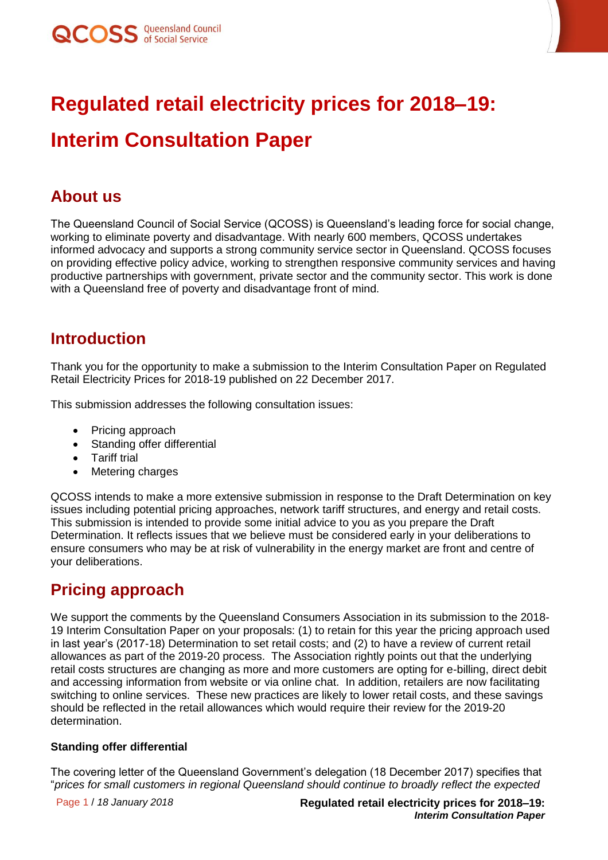

# **Regulated retail electricity prices for 2018–19:**

## **Interim Consultation Paper**

### **About us**

The Queensland Council of Social Service (QCOSS) is Queensland's leading force for social change, working to eliminate poverty and disadvantage. With nearly 600 members, QCOSS undertakes informed advocacy and supports a strong community service sector in Queensland. QCOSS focuses on providing effective policy advice, working to strengthen responsive community services and having productive partnerships with government, private sector and the community sector. This work is done with a Queensland free of poverty and disadvantage front of mind.

### **Introduction**

Thank you for the opportunity to make a submission to the Interim Consultation Paper on Regulated Retail Electricity Prices for 2018-19 published on 22 December 2017.

This submission addresses the following consultation issues:

- Pricing approach
- Standing offer differential
- Tariff trial
- Metering charges

QCOSS intends to make a more extensive submission in response to the Draft Determination on key issues including potential pricing approaches, network tariff structures, and energy and retail costs. This submission is intended to provide some initial advice to you as you prepare the Draft Determination. It reflects issues that we believe must be considered early in your deliberations to ensure consumers who may be at risk of vulnerability in the energy market are front and centre of your deliberations.

## **Pricing approach**

We support the comments by the Queensland Consumers Association in its submission to the 2018- 19 Interim Consultation Paper on your proposals: (1) to retain for this year the pricing approach used in last year's (2017-18) Determination to set retail costs; and (2) to have a review of current retail allowances as part of the 2019-20 process. The Association rightly points out that the underlying retail costs structures are changing as more and more customers are opting for e-billing, direct debit and accessing information from website or via online chat. In addition, retailers are now facilitating switching to online services. These new practices are likely to lower retail costs, and these savings should be reflected in the retail allowances which would require their review for the 2019-20 determination.

#### **Standing offer differential**

The covering letter of the Queensland Government's delegation (18 December 2017) specifies that "*prices for small customers in regional Queensland should continue to broadly reflect the expected*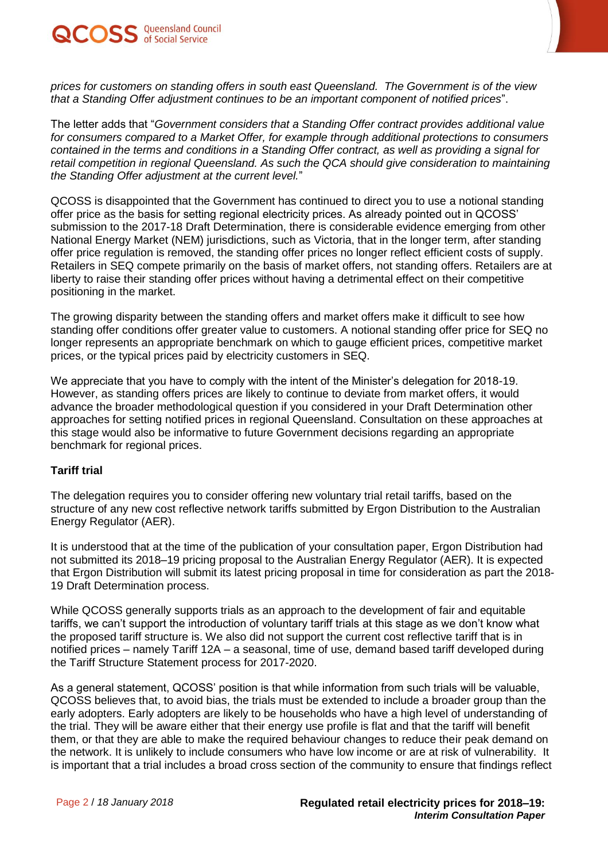

*prices for customers on standing offers in south east Queensland. The Government is of the view that a Standing Offer adjustment continues to be an important component of notified prices*".

The letter adds that "*Government considers that a Standing Offer contract provides additional value for consumers compared to a Market Offer, for example through additional protections to consumers contained in the terms and conditions in a Standing Offer contract, as well as providing a signal for retail competition in regional Queensland. As such the QCA should give consideration to maintaining the Standing Offer adjustment at the current level.*"

QCOSS is disappointed that the Government has continued to direct you to use a notional standing offer price as the basis for setting regional electricity prices. As already pointed out in QCOSS' submission to the 2017-18 Draft Determination, there is considerable evidence emerging from other National Energy Market (NEM) jurisdictions, such as Victoria, that in the longer term, after standing offer price regulation is removed, the standing offer prices no longer reflect efficient costs of supply. Retailers in SEQ compete primarily on the basis of market offers, not standing offers. Retailers are at liberty to raise their standing offer prices without having a detrimental effect on their competitive positioning in the market.

The growing disparity between the standing offers and market offers make it difficult to see how standing offer conditions offer greater value to customers. A notional standing offer price for SEQ no longer represents an appropriate benchmark on which to gauge efficient prices, competitive market prices, or the typical prices paid by electricity customers in SEQ.

We appreciate that you have to comply with the intent of the Minister's delegation for 2018-19. However, as standing offers prices are likely to continue to deviate from market offers, it would advance the broader methodological question if you considered in your Draft Determination other approaches for setting notified prices in regional Queensland. Consultation on these approaches at this stage would also be informative to future Government decisions regarding an appropriate benchmark for regional prices.

#### **Tariff trial**

The delegation requires you to consider offering new voluntary trial retail tariffs, based on the structure of any new cost reflective network tariffs submitted by Ergon Distribution to the Australian Energy Regulator (AER).

It is understood that at the time of the publication of your consultation paper, Ergon Distribution had not submitted its 2018–19 pricing proposal to the Australian Energy Regulator (AER). It is expected that Ergon Distribution will submit its latest pricing proposal in time for consideration as part the 2018- 19 Draft Determination process.

While QCOSS generally supports trials as an approach to the development of fair and equitable tariffs, we can't support the introduction of voluntary tariff trials at this stage as we don't know what the proposed tariff structure is. We also did not support the current cost reflective tariff that is in notified prices – namely Tariff 12A – a seasonal, time of use, demand based tariff developed during the Tariff Structure Statement process for 2017-2020.

As a general statement, QCOSS' position is that while information from such trials will be valuable, QCOSS believes that, to avoid bias, the trials must be extended to include a broader group than the early adopters. Early adopters are likely to be households who have a high level of understanding of the trial. They will be aware either that their energy use profile is flat and that the tariff will benefit them, or that they are able to make the required behaviour changes to reduce their peak demand on the network. It is unlikely to include consumers who have low income or are at risk of vulnerability. It is important that a trial includes a broad cross section of the community to ensure that findings reflect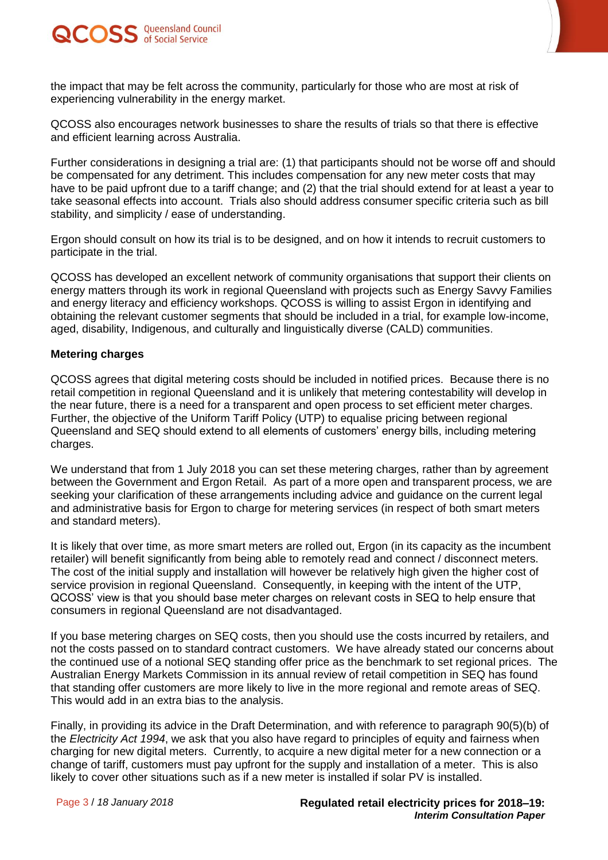



QCOSS also encourages network businesses to share the results of trials so that there is effective and efficient learning across Australia.

Further considerations in designing a trial are: (1) that participants should not be worse off and should be compensated for any detriment. This includes compensation for any new meter costs that may have to be paid upfront due to a tariff change; and (2) that the trial should extend for at least a year to take seasonal effects into account. Trials also should address consumer specific criteria such as bill stability, and simplicity / ease of understanding.

Ergon should consult on how its trial is to be designed, and on how it intends to recruit customers to participate in the trial.

QCOSS has developed an excellent network of community organisations that support their clients on energy matters through its work in regional Queensland with projects such as Energy Savvy Families and energy literacy and efficiency workshops. QCOSS is willing to assist Ergon in identifying and obtaining the relevant customer segments that should be included in a trial, for example low-income, aged, disability, Indigenous, and culturally and linguistically diverse (CALD) communities.

#### **Metering charges**

QCOSS agrees that digital metering costs should be included in notified prices. Because there is no retail competition in regional Queensland and it is unlikely that metering contestability will develop in the near future, there is a need for a transparent and open process to set efficient meter charges. Further, the objective of the Uniform Tariff Policy (UTP) to equalise pricing between regional Queensland and SEQ should extend to all elements of customers' energy bills, including metering charges.

We understand that from 1 July 2018 you can set these metering charges, rather than by agreement between the Government and Ergon Retail. As part of a more open and transparent process, we are seeking your clarification of these arrangements including advice and guidance on the current legal and administrative basis for Ergon to charge for metering services (in respect of both smart meters and standard meters).

It is likely that over time, as more smart meters are rolled out, Ergon (in its capacity as the incumbent retailer) will benefit significantly from being able to remotely read and connect / disconnect meters. The cost of the initial supply and installation will however be relatively high given the higher cost of service provision in regional Queensland. Consequently, in keeping with the intent of the UTP, QCOSS' view is that you should base meter charges on relevant costs in SEQ to help ensure that consumers in regional Queensland are not disadvantaged.

If you base metering charges on SEQ costs, then you should use the costs incurred by retailers, and not the costs passed on to standard contract customers. We have already stated our concerns about the continued use of a notional SEQ standing offer price as the benchmark to set regional prices. The Australian Energy Markets Commission in its annual review of retail competition in SEQ has found that standing offer customers are more likely to live in the more regional and remote areas of SEQ. This would add in an extra bias to the analysis.

Finally, in providing its advice in the Draft Determination, and with reference to paragraph 90(5)(b) of the *Electricity Act 1994*, we ask that you also have regard to principles of equity and fairness when charging for new digital meters. Currently, to acquire a new digital meter for a new connection or a change of tariff, customers must pay upfront for the supply and installation of a meter. This is also likely to cover other situations such as if a new meter is installed if solar PV is installed.